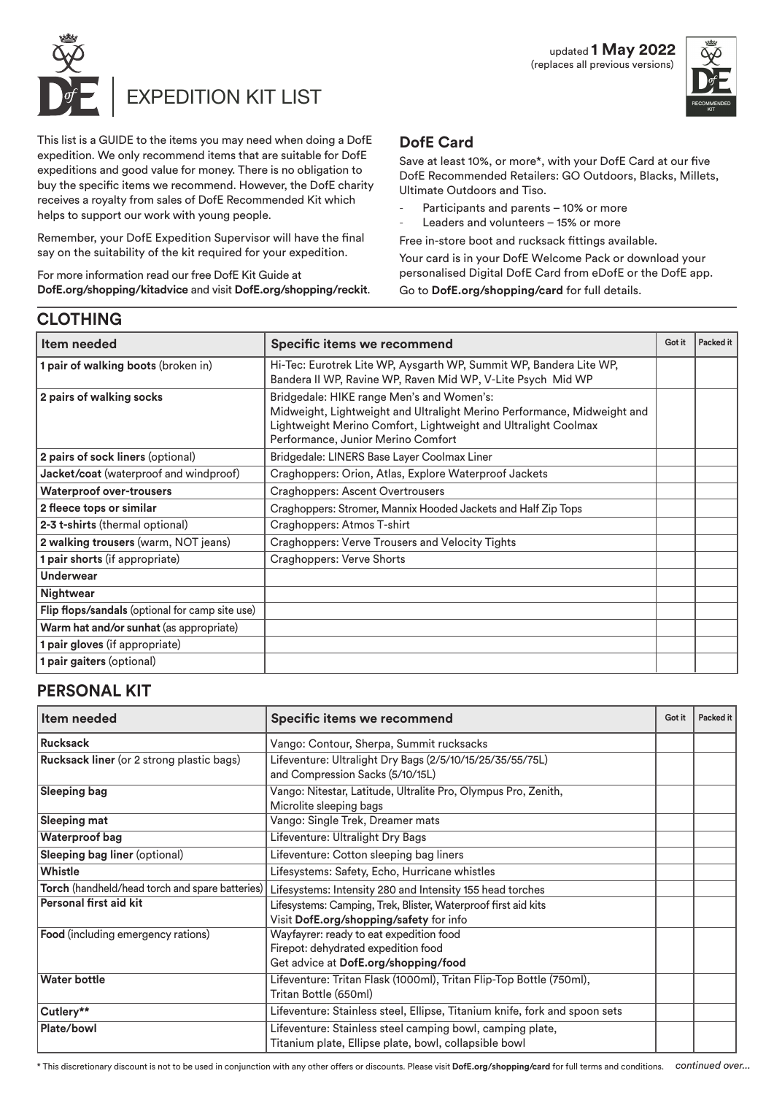



This list is a GUIDE to the items you may need when doing a DofE expedition. We only recommend items that are suitable for DofE expeditions and good value for money. There is no obligation to buy the specific items we recommend. However, the DofE charity receives a royalty from sales of DofE Recommended Kit which helps to support our work with young people.

Remember, your DofE Expedition Supervisor will have the final say on the suitability of the kit required for your expedition.

For more information read our free DofE Kit Guide at **DofE.org/shopping/kitadvice** and visit **DofE.org/shopping/reckit**.

# **DofE Card**

Save at least 10%, or more\*, with your DofE Card at our five DofE Recommended Retailers: GO Outdoors, Blacks, Millets, Ultimate Outdoors and Tiso.

- Participants and parents 10% or more
- Leaders and volunteers 15% or more

Free in-store boot and rucksack fittings available.

Your card is in your DofE Welcome Pack or download your personalised Digital DofE Card from eDofE or the DofE app.

Go to **DofE.org/shopping/card** for full details.

# **CLOTHING**

| Item needed                                     | Specific items we recommend                                                                                                                                                                                                  | Got it | Packed it |
|-------------------------------------------------|------------------------------------------------------------------------------------------------------------------------------------------------------------------------------------------------------------------------------|--------|-----------|
| 1 pair of walking boots (broken in)             | Hi-Tec: Eurotrek Lite WP, Aysgarth WP, Summit WP, Bandera Lite WP,<br>Bandera II WP, Ravine WP, Raven Mid WP, V-Lite Psych Mid WP                                                                                            |        |           |
| 2 pairs of walking socks                        | Bridgedale: HIKE range Men's and Women's:<br>Midweight, Lightweight and Ultralight Merino Performance, Midweight and<br>Lightweight Merino Comfort, Lightweight and Ultralight Coolmax<br>Performance, Junior Merino Comfort |        |           |
| 2 pairs of sock liners (optional)               | Bridgedale: LINERS Base Layer Coolmax Liner                                                                                                                                                                                  |        |           |
| Jacket/coat (waterproof and windproof)          | Craghoppers: Orion, Atlas, Explore Waterproof Jackets                                                                                                                                                                        |        |           |
| <b>Waterproof over-trousers</b>                 | Craghoppers: Ascent Overtrousers                                                                                                                                                                                             |        |           |
| 2 fleece tops or similar                        | Craghoppers: Stromer, Mannix Hooded Jackets and Half Zip Tops                                                                                                                                                                |        |           |
| 2-3 t-shirts (thermal optional)                 | Craghoppers: Atmos T-shirt                                                                                                                                                                                                   |        |           |
| 2 walking trousers (warm, NOT jeans)            | Craghoppers: Verve Trousers and Velocity Tights                                                                                                                                                                              |        |           |
| 1 pair shorts (if appropriate)                  | Craghoppers: Verve Shorts                                                                                                                                                                                                    |        |           |
| Underwear                                       |                                                                                                                                                                                                                              |        |           |
| Nightwear                                       |                                                                                                                                                                                                                              |        |           |
| Flip flops/sandals (optional for camp site use) |                                                                                                                                                                                                                              |        |           |
| Warm hat and/or sunhat (as appropriate)         |                                                                                                                                                                                                                              |        |           |
| 1 pair gloves (if appropriate)                  |                                                                                                                                                                                                                              |        |           |
| 1 pair gaiters (optional)                       |                                                                                                                                                                                                                              |        |           |

### **PERSONAL KIT**

| Item needed                                      | Specific items we recommend                                                                                            | Got it | Packed it |
|--------------------------------------------------|------------------------------------------------------------------------------------------------------------------------|--------|-----------|
| Rucksack                                         | Vango: Contour, Sherpa, Summit rucksacks                                                                               |        |           |
| <b>Rucksack liner</b> (or 2 strong plastic bags) | Lifeventure: Ultralight Dry Bags (2/5/10/15/25/35/55/75L)<br>and Compression Sacks (5/10/15L)                          |        |           |
| <b>Sleeping bag</b>                              | Vango: Nitestar, Latitude, Ultralite Pro, Olympus Pro, Zenith,<br>Microlite sleeping bags                              |        |           |
| <b>Sleeping mat</b>                              | Vango: Single Trek, Dreamer mats                                                                                       |        |           |
| Waterproof bag                                   | Lifeventure: Ultralight Dry Bags                                                                                       |        |           |
| Sleeping bag liner (optional)                    | Lifeventure: Cotton sleeping bag liners                                                                                |        |           |
| Whistle                                          | Lifesystems: Safety, Echo, Hurricane whistles                                                                          |        |           |
| Torch (handheld/head torch and spare batteries)  | Lifesystems: Intensity 280 and Intensity 155 head torches                                                              |        |           |
| Personal first aid kit                           | Lifesystems: Camping, Trek, Blister, Waterproof first aid kits<br>Visit DofE.org/shopping/safety for info              |        |           |
| Food (including emergency rations)               | Wayfayrer: ready to eat expedition food<br>Firepot: dehydrated expedition food<br>Get advice at DofE.org/shopping/food |        |           |
| <b>Water bottle</b>                              | Lifeventure: Tritan Flask (1000ml), Tritan Flip-Top Bottle (750ml),<br>Tritan Bottle (650ml)                           |        |           |
| Cutlery**                                        | Lifeventure: Stainless steel, Ellipse, Titanium knife, fork and spoon sets                                             |        |           |
| Plate/bowl                                       | Lifeventure: Stainless steel camping bowl, camping plate,<br>Titanium plate, Ellipse plate, bowl, collapsible bowl     |        |           |

*continued over...* \* This discretionary discount is not to be used in conjunction with any other offers or discounts. Please visit **DofE.org/shopping/card** for full terms and conditions.